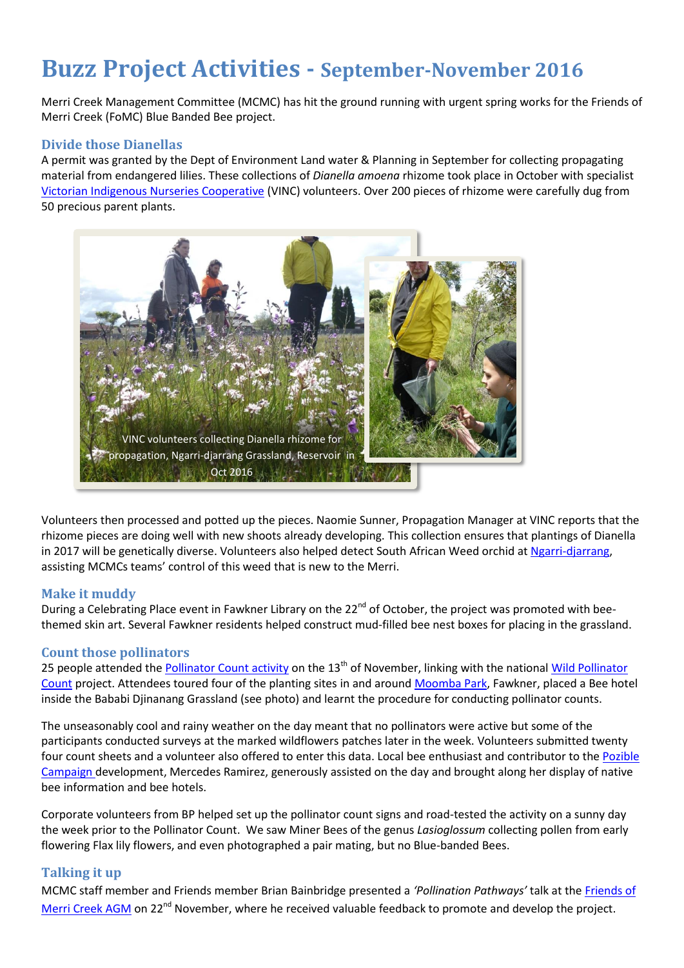# **Buzz Project Activities - September-November 2016**

Merri Creek Management Committee (MCMC) has hit the ground running with urgent spring works for the Friends of Merri Creek (FoMC) Blue Banded Bee project.

#### **Divide those Dianellas**

A permit was granted by the Dept of Environment Land water & Planning in September for collecting propagating material from endangered lilies. These collections of *Dianella amoena* rhizome took place in October with specialist [Victorian Indigenous Nurseries Cooperative](http://www.vinc.net.au/) (VINC) volunteers. Over 200 pieces of rhizome were carefully dug from 50 precious parent plants.



Volunteers then processed and potted up the pieces. Naomie Sunner, Propagation Manager at VINC reports that the rhizome pieces are doing well with new shoots already developing. This collection ensures that plantings of Dianella in 2017 will be genetically diverse. Volunteers also helped detect South African Weed orchid at [Ngarri-djarrang,](http://www.mcmc.org.au/images/Ngarri-djarrang_Info_Note_SINGLES.pdf) assisting MCMCs teams' control of this weed that is new to the Merri.

#### **Make it muddy**

During a Celebrating Place event in Fawkner Library on the 22<sup>nd</sup> of October, the project was promoted with beethemed skin art. Several Fawkner residents helped construct mud-filled bee nest boxes for placing in the grassland.

## **Count those pollinators**

25 people attended the [Pollinator Count activity](https://www.facebook.com/events/1705727196410669/) on the 13<sup>th</sup> of November, linking with the national Wild Pollinator [Count](https://wildpollinatorcount.com/) project. Attendees toured four of the planting sites in and around [Moomba Park,](http://www.mcmc.org.au/file/Site_notes/MCMC%20-%20Moomba%20Park%20web%20version.pdf) Fawkner, placed a Bee hotel inside the Bababi Djinanang Grassland (see photo) and learnt the procedure for conducting pollinator counts.

The unseasonably cool and rainy weather on the day meant that no pollinators were active but some of the participants conducted surveys at the marked wildflowers patches later in the week. Volunteers submitted twenty four count sheets and a volunteer also offered to enter this data. Local bee enthusiast and contributor to the Pozible [Campaign d](https://pozible.com/project/the-rockin-bee)evelopment, Mercedes Ramirez, generously assisted on the day and brought along her display of native bee information and bee hotels.

Corporate volunteers from BP helped set up the pollinator count signs and road-tested the activity on a sunny day the week prior to the Pollinator Count. We saw Miner Bees of the genus *Lasioglossum* collecting pollen from early flowering Flax lily flowers, and even photographed a pair mating, but no Blue-banded Bees.

## **Talking it up**

MCMC staff member and Friends member Brian Bainbridge presented a *'Pollination Pathways'* talk at the [Friends of](https://www.facebook.com/events/533407213524237/)  [Merri Creek AGM](https://www.facebook.com/events/533407213524237/) on 22<sup>nd</sup> November, where he received valuable feedback to promote and develop the project.